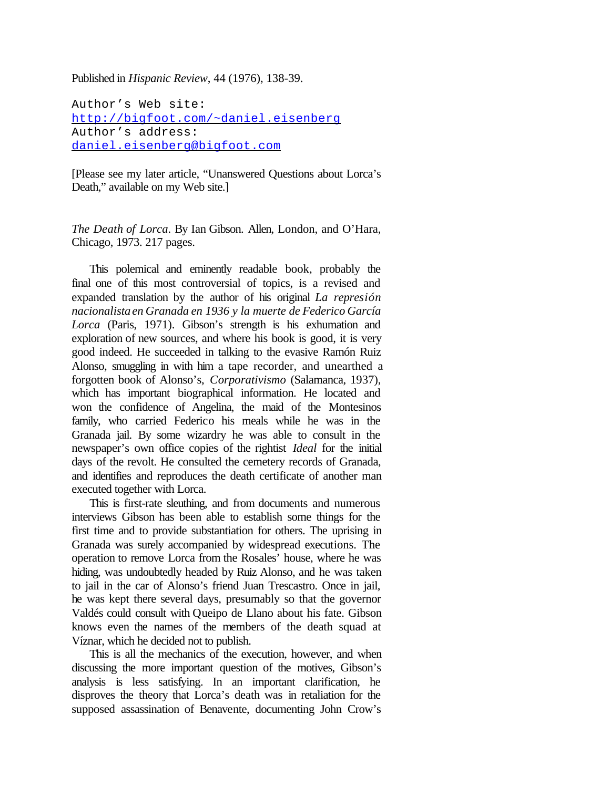Published in *Hispanic Review*, 44 (1976), 138-39.

Author's Web site: http://bigfoot.com/~daniel.eisenberg Author's address: daniel.eisenberg@bigfoot.com

[Please see my later article, "Unanswered Questions about Lorca's Death," available on my Web site.]

*The Death of Lorca*. By Ian Gibson. Allen, London, and O'Hara, Chicago, 1973. 217 pages.

This polemical and eminently readable book, probably the final one of this most controversial of topics, is a revised and expanded translation by the author of his original *La represión nacionalistaen Granada en 1936 y la muerte de Federico García Lorca* (Paris, 1971). Gibson's strength is his exhumation and exploration of new sources, and where his book is good, it is very good indeed. He succeeded in talking to the evasive Ramón Ruiz Alonso, smuggling in with him a tape recorder, and unearthed a forgotten book of Alonso's, *Corporativismo* (Salamanca, 1937), which has important biographical information. He located and won the confidence of Angelina, the maid of the Montesinos family, who carried Federico his meals while he was in the Granada jail. By some wizardry he was able to consult in the newspaper's own office copies of the rightist *Ideal* for the initial days of the revolt. He consulted the cemetery records of Granada, and identifies and reproduces the death certificate of another man executed together with Lorca.

This is first-rate sleuthing, and from documents and numerous interviews Gibson has been able to establish some things for the first time and to provide substantiation for others. The uprising in Granada was surely accompanied by widespread executions. The operation to remove Lorca from the Rosales' house, where he was hiding, was undoubtedly headed by Ruiz Alonso, and he was taken to jail in the car of Alonso's friend Juan Trescastro. Once in jail, he was kept there several days, presumably so that the governor Valdés could consult with Queipo de Llano about his fate. Gibson knows even the names of the members of the death squad at Víznar, which he decided not to publish.

This is all the mechanics of the execution, however, and when discussing the more important question of the motives, Gibson's analysis is less satisfying. In an important clarification, he disproves the theory that Lorca's death was in retaliation for the supposed assassination of Benavente, documenting John Crow's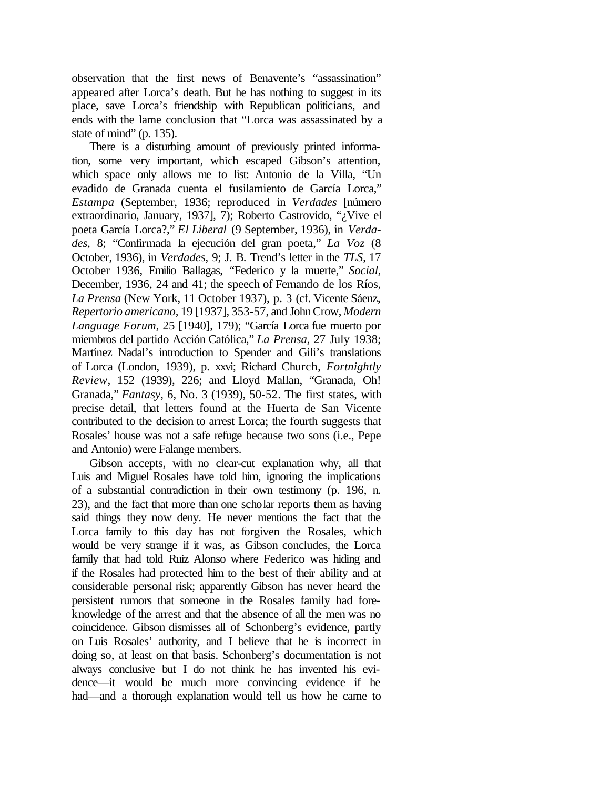observation that the first news of Benavente's "assassination" appeared after Lorca's death. But he has nothing to suggest in its place, save Lorca's friendship with Republican politicians, and ends with the lame conclusion that "Lorca was assassinated by a state of mind" (p. 135).

There is a disturbing amount of previously printed information, some very important, which escaped Gibson's attention, which space only allows me to list: Antonio de la Villa, "Un evadido de Granada cuenta el fusilamiento de García Lorca," *Estampa* (September, 1936; reproduced in *Verdades* [número extraordinario, January, 1937], 7); Roberto Castrovido, "¿Vive el poeta García Lorca?," *El Liberal* (9 September, 1936), in *Verdades*, 8; "Confirmada la ejecución del gran poeta," *La Voz* (8 October, 1936), in *Verdades*, 9; J. B. Trend's letter in the *TLS*, 17 October 1936, Emilio Ballagas, "Federico y la muerte," *Social,* December, 1936, 24 and 41; the speech of Fernando de los Ríos, *La Prensa* (New York, 11 October 1937), p. 3 (cf. Vicente Sáenz, *Repertorio americano,* 19 [1937], 353-57, and JohnCrow, *Modern Language Forum,* 25 [1940], 179); "García Lorca fue muerto por miembros del partido Acción Católica," *La Prensa,* 27 July 1938; Martínez Nadal's introduction to Spender and Gili's translations of Lorca (London, 1939), p. xxvi; Richard Church, *Fortnightly Review*, 152 (1939), 226; and Lloyd Mallan, "Granada, Oh! Granada," *Fantasy*, 6, No. 3 (1939), 50-52. The first states, with precise detail, that letters found at the Huerta de San Vicente contributed to the decision to arrest Lorca; the fourth suggests that Rosales' house was not a safe refuge because two sons (i.e., Pepe and Antonio) were Falange members.

Gibson accepts, with no clear-cut explanation why, all that Luis and Miguel Rosales have told him, ignoring the implications of a substantial contradiction in their own testimony (p. 196, n. 23), and the fact that more than one scholar reports them as having said things they now deny. He never mentions the fact that the Lorca family to this day has not forgiven the Rosales, which would be very strange if it was, as Gibson concludes, the Lorca family that had told Ruiz Alonso where Federico was hiding and if the Rosales had protected him to the best of their ability and at considerable personal risk; apparently Gibson has never heard the persistent rumors that someone in the Rosales family had foreknowledge of the arrest and that the absence of all the men was no coincidence. Gibson dismisses all of Schonberg's evidence, partly on Luis Rosales' authority, and I believe that he is incorrect in doing so, at least on that basis. Schonberg's documentation is not always conclusive but I do not think he has invented his evidence—it would be much more convincing evidence if he had—and a thorough explanation would tell us how he came to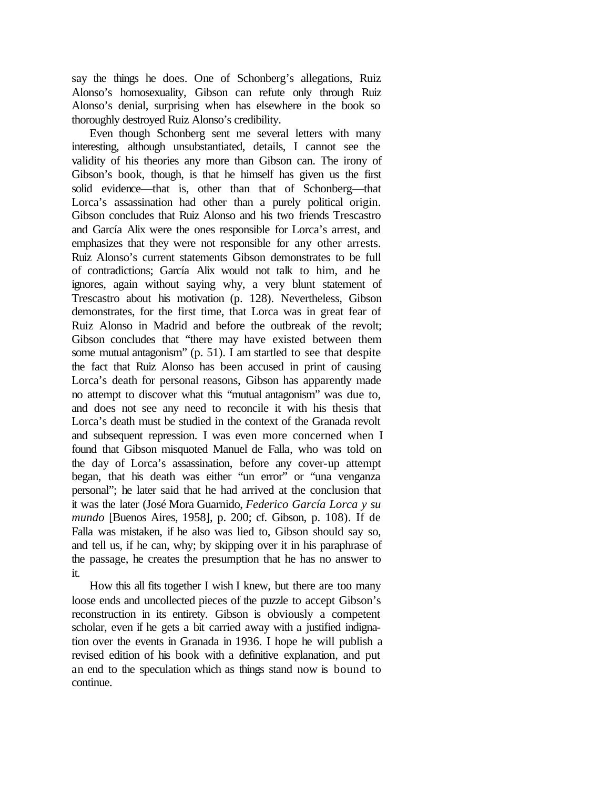say the things he does. One of Schonberg's allegations, Ruiz Alonso's homosexuality, Gibson can refute only through Ruiz Alonso's denial, surprising when has elsewhere in the book so thoroughly destroyed Ruiz Alonso's credibility.

Even though Schonberg sent me several letters with many interesting, although unsubstantiated, details, I cannot see the validity of his theories any more than Gibson can. The irony of Gibson's book, though, is that he himself has given us the first solid evidence—that is, other than that of Schonberg—that Lorca's assassination had other than a purely political origin. Gibson concludes that Ruiz Alonso and his two friends Trescastro and García Alix were the ones responsible for Lorca's arrest, and emphasizes that they were not responsible for any other arrests. Ruiz Alonso's current statements Gibson demonstrates to be full of contradictions; García Alix would not talk to him, and he ignores, again without saying why, a very blunt statement of Trescastro about his motivation (p. 128). Nevertheless, Gibson demonstrates, for the first time, that Lorca was in great fear of Ruiz Alonso in Madrid and before the outbreak of the revolt; Gibson concludes that "there may have existed between them some mutual antagonism" (p. 51). I am startled to see that despite the fact that Ruiz Alonso has been accused in print of causing Lorca's death for personal reasons, Gibson has apparently made no attempt to discover what this "mutual antagonism" was due to, and does not see any need to reconcile it with his thesis that Lorca's death must be studied in the context of the Granada revolt and subsequent repression. I was even more concerned when I found that Gibson misquoted Manuel de Falla, who was told on the day of Lorca's assassination, before any cover-up attempt began, that his death was either "un error" or "una venganza personal"; he later said that he had arrived at the conclusion that it was the later (José Mora Guarnido, *Federico García Lorca y su mundo* [Buenos Aires, 1958], p. 200; cf. Gibson, p. 108). If de Falla was mistaken, if he also was lied to, Gibson should say so, and tell us, if he can, why; by skipping over it in his paraphrase of the passage, he creates the presumption that he has no answer to it.

How this all fits together I wish I knew, but there are too many loose ends and uncollected pieces of the puzzle to accept Gibson's reconstruction in its entirety. Gibson is obviously a competent scholar, even if he gets a bit carried away with a justified indignation over the events in Granada in 1936. I hope he will publish a revised edition of his book with a definitive explanation, and put an end to the speculation which as things stand now is bound to continue.